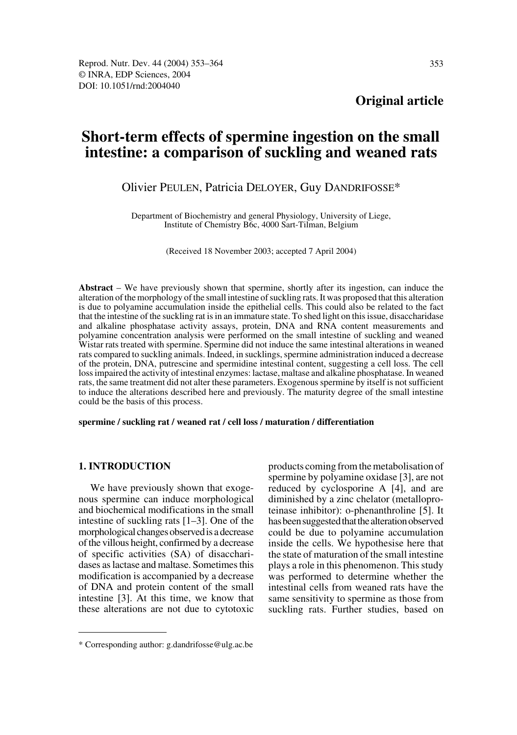# **Short-term effects of spermine ingestion on the small intestine: a comparison of suckling and weaned rats**

# Olivier PEULEN, Patricia DELOYER, Guy DANDRIFOSSE\*

Department of Biochemistry and general Physiology, University of Liege, Institute of Chemistry B6c, 4000 Sart-Tilman, Belgium

(Received 18 November 2003; accepted 7 April 2004)

**Abstract** – We have previously shown that spermine, shortly after its ingestion, can induce the alteration of the morphology of the small intestine of suckling rats. It was proposed that this alteration is due to polyamine accumulation inside the epithelial cells. This could also be related to the fact that the intestine of the suckling rat is in an immature state. To shed light on this issue, disaccharidase and alkaline phosphatase activity assays, protein, DNA and RNA content measurements and polyamine concentration analysis were performed on the small intestine of suckling and weaned Wistar rats treated with spermine. Spermine did not induce the same intestinal alterations in weaned rats compared to suckling animals. Indeed, in sucklings, spermine administration induced a decrease of the protein, DNA, putrescine and spermidine intestinal content, suggesting a cell loss. The cell loss impaired the activity of intestinal enzymes: lactase, maltase and alkaline phosphatase. In weaned rats, the same treatment did not alter these parameters. Exogenous spermine by itself is not sufficient to induce the alterations described here and previously. The maturity degree of the small intestine could be the basis of this process.

**spermine / suckling rat / weaned rat / cell loss / maturation / differentiation**

## **1. INTRODUCTION**

We have previously shown that exogenous spermine can induce morphological and biochemical modifications in the small intestine of suckling rats [1–3]. One of the morphological changes observed is a decrease of the villous height, confirmed by a decrease of specific activities (SA) of disaccharidases as lactase and maltase. Sometimes this modification is accompanied by a decrease of DNA and protein content of the small intestine [3]. At this time, we know that these alterations are not due to cytotoxic products coming from the metabolisation of spermine by polyamine oxidase [3], are not reduced by cyclosporine A [4], and are diminished by a zinc chelator (metalloproteinase inhibitor): o-phenanthroline [5]. It has been suggested that the alteration observed could be due to polyamine accumulation inside the cells. We hypothesise here that the state of maturation of the small intestine plays a role in this phenomenon. This study was performed to determine whether the intestinal cells from weaned rats have the same sensitivity to spermine as those from suckling rats. Further studies, based on

<sup>\*</sup> Corresponding author: g.dandrifosse@ulg.ac.be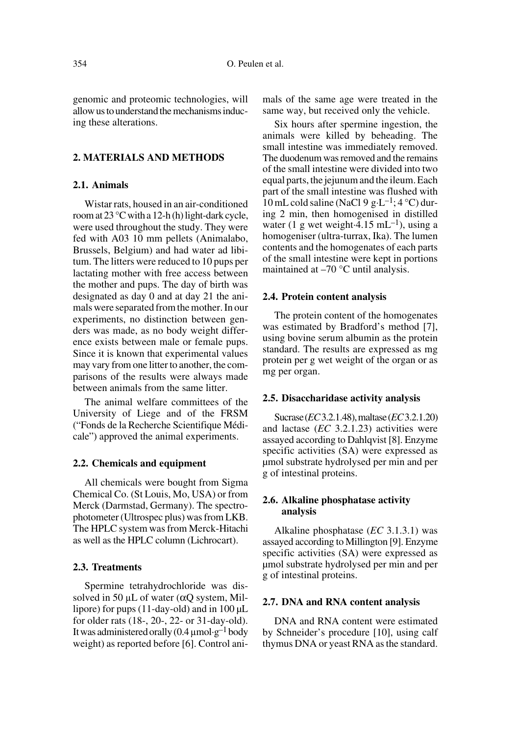genomic and proteomic technologies, will allow us to understand the mechanisms inducing these alterations.

#### **2. MATERIALS AND METHODS**

# **2.1. Animals**

Wistar rats, housed in an air-conditioned room at 23 °C with a 12-h (h) light-dark cycle, were used throughout the study. They were fed with A03 10 mm pellets (Animalabo, Brussels, Belgium) and had water ad libitum. The litters were reduced to 10 pups per lactating mother with free access between the mother and pups. The day of birth was designated as day 0 and at day 21 the animals were separated from the mother. In our experiments, no distinction between genders was made, as no body weight difference exists between male or female pups. Since it is known that experimental values may vary from one litter to another, the comparisons of the results were always made between animals from the same litter.

The animal welfare committees of the University of Liege and of the FRSM ("Fonds de la Recherche Scientifique Médicale") approved the animal experiments.

#### **2.2. Chemicals and equipment**

All chemicals were bought from Sigma Chemical Co. (St Louis, Mo, USA) or from Merck (Darmstad, Germany). The spectrophotometer (Ultrospec plus) was from LKB. The HPLC system was from Merck-Hitachi as well as the HPLC column (Lichrocart).

## **2.3. Treatments**

Spermine tetrahydrochloride was dissolved in 50  $\mu$ L of water ( $\alpha$ O system, Millipore) for pups (11-day-old) and in 100 µL for older rats (18-, 20-, 22- or 31-day-old). It was administered orally  $(0.4 \mu \text{mol}\cdot \text{g}^{-1})$  body weight) as reported before [6]. Control animals of the same age were treated in the same way, but received only the vehicle.

Six hours after spermine ingestion, the animals were killed by beheading. The small intestine was immediately removed. The duodenum was removed and the remains of the small intestine were divided into two equal parts, the jejunum and the ileum. Each part of the small intestine was flushed with 10 mL cold saline (NaCl 9 g·L<sup>-1</sup>; 4 °C) during 2 min, then homogenised in distilled water (1 g wet weight 4.15 mL<sup>-1</sup>), using a homogeniser (ultra-turrax, Ika). The lumen contents and the homogenates of each parts of the small intestine were kept in portions maintained at  $-70$  °C until analysis.

#### **2.4. Protein content analysis**

The protein content of the homogenates was estimated by Bradford's method [7], using bovine serum albumin as the protein standard. The results are expressed as mg protein per g wet weight of the organ or as mg per organ.

## **2.5. Disaccharidase activity analysis**

Sucrase (*EC* 3.2.1.48), maltase (*EC* 3.2.1.20) and lactase (*EC* 3.2.1.23) activities were assayed according to Dahlqvist [8]. Enzyme specific activities (SA) were expressed as µmol substrate hydrolysed per min and per g of intestinal proteins.

# **2.6. Alkaline phosphatase activity analysis**

Alkaline phosphatase (*EC* 3.1.3.1) was assayed according to Millington [9]. Enzyme specific activities (SA) were expressed as µmol substrate hydrolysed per min and per g of intestinal proteins.

#### **2.7. DNA and RNA content analysis**

DNA and RNA content were estimated by Schneider's procedure [10], using calf thymus DNA or yeast RNA as the standard.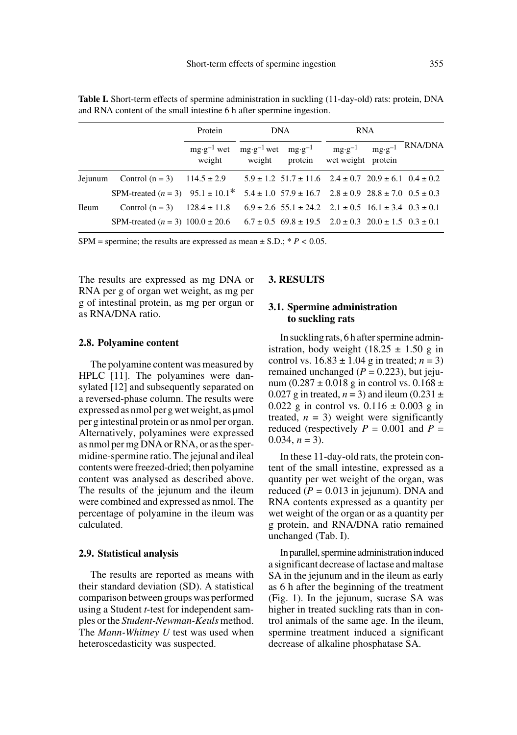|              |                                                                                         | Protein                                                                                   | DNA                                                                      |  | <b>RNA</b> |                           |
|--------------|-----------------------------------------------------------------------------------------|-------------------------------------------------------------------------------------------|--------------------------------------------------------------------------|--|------------|---------------------------|
|              |                                                                                         | $mg \cdot g^{-1}$ wet $mg \cdot g^{-1}$ wet $mg \cdot g^{-1}$ mg $\cdot g^{-1}$<br>weight | weight protein wet weight protein                                        |  |            | $mg \cdot g^{-1}$ RNA/DNA |
| Jejunum      | Control $(n = 3)$ 114.5 $\pm$ 2.9                                                       |                                                                                           | $5.9 \pm 1.2$ $51.7 \pm 11.6$ $2.4 \pm 0.7$ $20.9 \pm 6.1$ $0.4 \pm 0.2$ |  |            |                           |
|              | SPM-treated $(n = 3)$ 95.1 ± 10.1* 5.4 ± 1.0 57.9 ± 16.7 2.8 ± 0.9 28.8 ± 7.0 0.5 ± 0.3 |                                                                                           |                                                                          |  |            |                           |
| <b>Ileum</b> | Control $(n = 3)$ 128.4 $\pm$ 11.8                                                      |                                                                                           | $6.9 \pm 2.6$ 55.1 $\pm$ 24.2 2.1 $\pm$ 0.5 16.1 $\pm$ 3.4 0.3 $\pm$ 0.1 |  |            |                           |
|              | SPM-treated $(n = 3)$ 100.0 ± 20.6                                                      |                                                                                           | $6.7 \pm 0.5$ 69.8 $\pm$ 19.5 2.0 $\pm$ 0.3 20.0 $\pm$ 1.5 0.3 $\pm$ 0.1 |  |            |                           |

**Table I.** Short-term effects of spermine administration in suckling (11-day-old) rats: protein, DNA and RNA content of the small intestine 6 h after spermine ingestion.

SPM = spermine; the results are expressed as mean  $\pm$  S.D.;  $* P < 0.05$ .

The results are expressed as mg DNA or RNA per g of organ wet weight, as mg per g of intestinal protein, as mg per organ or as RNA/DNA ratio.

#### **2.8. Polyamine content**

The polyamine content was measured by HPLC [11]. The polyamines were dansylated [12] and subsequently separated on a reversed-phase column. The results were expressed as nmol per g wet weight, as µmol per g intestinal protein or as nmol per organ. Alternatively, polyamines were expressed as nmol per mg DNA or RNA, or as the spermidine-spermine ratio. The jejunal and ileal contents were freezed-dried; then polyamine content was analysed as described above. The results of the jejunum and the ileum were combined and expressed as nmol. The percentage of polyamine in the ileum was calculated.

#### **2.9. Statistical analysis**

The results are reported as means with their standard deviation (SD). A statistical comparison between groups was performed using a Student *t*-test for independent samples or the *Student-Newman-Keuls* method. The *Mann-Whitney U* test was used when heteroscedasticity was suspected.

# **3. RESULTS**

# **3.1. Spermine administration to suckling rats**

In suckling rats, 6 h after spermine administration, body weight  $(18.25 \pm 1.50 \text{ g} \text{ in}$ control vs.  $16.83 \pm 1.04$  g in treated;  $n = 3$ ) remained unchanged  $(P = 0.223)$ , but jejunum (0.287  $\pm$  0.018 g in control vs. 0.168  $\pm$ 0.027 g in treated,  $n = 3$ ) and ileum (0.231  $\pm$ 0.022 g in control vs.  $0.116 \pm 0.003$  g in treated,  $n = 3$ ) weight were significantly reduced (respectively  $P = 0.001$  and  $P =$  $0.034, n = 3$ ).

In these 11-day-old rats, the protein content of the small intestine, expressed as a quantity per wet weight of the organ, was reduced  $(P = 0.013$  in jejunum). DNA and RNA contents expressed as a quantity per wet weight of the organ or as a quantity per g protein, and RNA/DNA ratio remained unchanged (Tab. I).

In parallel, spermine administration induced a significant decrease of lactase and maltase SA in the jejunum and in the ileum as early as 6 h after the beginning of the treatment (Fig. 1). In the jejunum, sucrase SA was higher in treated suckling rats than in control animals of the same age. In the ileum, spermine treatment induced a significant decrease of alkaline phosphatase SA.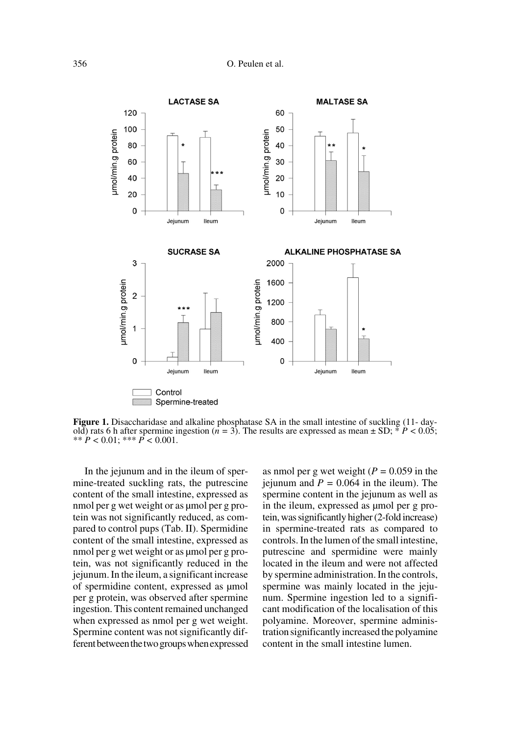

**Figure 1.** Disaccharidase and alkaline phosphatase SA in the small intestine of suckling (11- dayold) rats 6 h after spermine ingestion ( $n = 3$ ). The results are expressed as mean  $\pm$  SD;  $* P < 0.05$ ; \*\*  $P < 0.01$ ; \*\*\*  $P < 0.001$ .

In the jejunum and in the ileum of spermine-treated suckling rats, the putrescine content of the small intestine, expressed as nmol per g wet weight or as umol per g protein was not significantly reduced, as compared to control pups (Tab. II). Spermidine content of the small intestine, expressed as nmol per g wet weight or as umol per g protein, was not significantly reduced in the jejunum. In the ileum, a significant increase of spermidine content, expressed as µmol per g protein, was observed after spermine ingestion. This content remained unchanged when expressed as nmol per g wet weight. Spermine content was not significantly different between the two groups when expressed as nmol per g wet weight (*P =* 0.059 in the jejunum and  $P = 0.064$  in the ileum). The spermine content in the jejunum as well as in the ileum, expressed as umol per g protein, was significantly higher (2-fold increase) in spermine-treated rats as compared to controls. In the lumen of the small intestine, putrescine and spermidine were mainly located in the ileum and were not affected by spermine administration. In the controls, spermine was mainly located in the jejunum. Spermine ingestion led to a significant modification of the localisation of this polyamine. Moreover, spermine administration significantly increased the polyamine content in the small intestine lumen.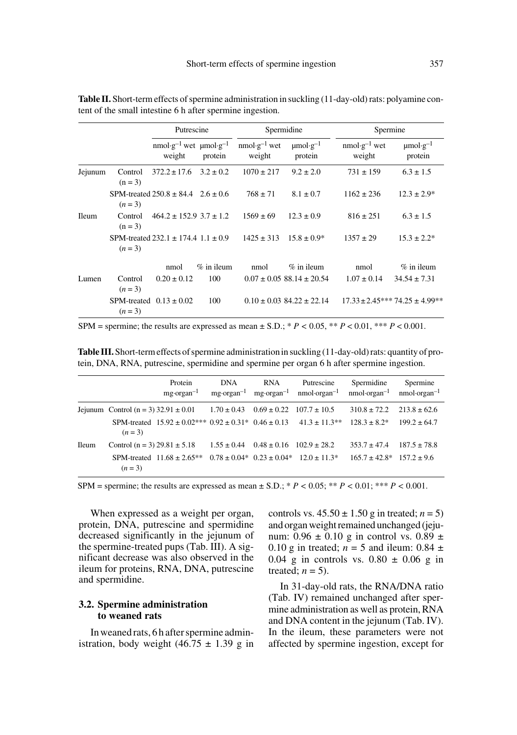|              |                      | Putrescine                                  |              | Spermidine               |                                      |                          | Spermine                             |  |
|--------------|----------------------|---------------------------------------------|--------------|--------------------------|--------------------------------------|--------------------------|--------------------------------------|--|
|              |                      | $nmol·g-1$ wet $µmol·g-1$<br>weight         | protein      | $nmol·g-1$ wet<br>weight | $\mu$ mol·g <sup>-1</sup><br>protein | $nmol·g-1$ wet<br>weight | $\mu$ mol·g <sup>-1</sup><br>protein |  |
| Jejunum      | Control<br>$(n = 3)$ | $372.2 \pm 17.6$ $3.2 \pm 0.2$              |              | $1070 \pm 217$           | $9.2 \pm 2.0$                        | $731 \pm 159$            | $6.3 \pm 1.5$                        |  |
|              | $(n=3)$              | SPM-treated $250.8 \pm 84.4$ $2.6 \pm 0.6$  |              | $768 \pm 71$             | $8.1 \pm 0.7$                        | $1162 \pm 236$           | $12.3 \pm 2.9^*$                     |  |
| <b>Ileum</b> | Control<br>$(n = 3)$ | $464.2 \pm 152.9$ $3.7 \pm 1.2$             |              | $1569 \pm 69$            | $12.3 \pm 0.9$                       | $816 \pm 251$            | $6.3 \pm 1.5$                        |  |
|              | $(n=3)$              | SPM-treated $232.1 \pm 174.4$ 1.1 $\pm$ 0.9 |              | $1425 \pm 313$           | $15.8 \pm 0.9^*$                     | $1357 \pm 29$            | $15.3 \pm 2.2^*$                     |  |
|              |                      | nmol                                        | $%$ in ileum | nmol                     | $%$ in ileum                         | nmol                     | $%$ in ileum                         |  |
| Lumen        | Control<br>$(n=3)$   | $0.20 \pm 0.12$                             | 100          |                          | $0.07 \pm 0.05$ 88.14 $\pm$ 20.54    | $1.07 \pm 0.14$          | $34.54 \pm 7.31$                     |  |
|              | $(n=3)$              | SPM-treated $0.13 \pm 0.02$                 | 100          |                          | $0.10 \pm 0.03$ 84.22 $\pm$ 22.14    |                          | $17.33 \pm 2.45***74.25 \pm 4.99**$  |  |

**Table II.** Short-term effects of spermine administration in suckling (11-day-old) rats: polyamine content of the small intestine 6 h after spermine ingestion.

SPM = spermine; the results are expressed as mean  $\pm$  S.D.; \* *P* < 0.05, \*\* *P* < 0.01, \*\*\* *P* < 0.001.

**Table III.** Short-term effects of spermine administration in suckling (11-day-old) rats: quantity of protein, DNA, RNA, putrescine, spermidine and spermine per organ 6 h after spermine ingestion.

|              |                                          | Protein<br>$mg\text{-}organ^{-1}$                                                           | <b>DNA</b>      | <b>RNA</b>                       | Putrescine<br>$mg\text{-}\text{organ}^{-1}$ mg $\text{-}\text{organ}^{-1}$ nmol $\text{-}\text{organ}^{-1}$ nmol $\text{-}\text{organ}^{-1}$ nmol $\text{-}\text{organ}^{-1}$ | Spermidine         | Spermine         |
|--------------|------------------------------------------|---------------------------------------------------------------------------------------------|-----------------|----------------------------------|-------------------------------------------------------------------------------------------------------------------------------------------------------------------------------|--------------------|------------------|
|              | Jejunum Control (n = 3) $32.91 \pm 0.01$ |                                                                                             | $1.70 \pm 0.43$ | $0.69 \pm 0.22$ $107.7 \pm 10.5$ |                                                                                                                                                                               | $310.8 \pm 72.2$   | $213.8 \pm 62.6$ |
|              | $(n=3)$                                  | SPM-treated $15.92 \pm 0.02^{***}$ 0.92 $\pm 0.31^{*}$ 0.46 $\pm 0.13$ 41.3 $\pm 11.3^{**}$ |                 |                                  |                                                                                                                                                                               | $128.3 \pm 8.2^*$  | $199.2 \pm 64.7$ |
| <b>Ileum</b> | Control $(n = 3)$ 29.81 $\pm$ 5.18       |                                                                                             | $1.55 \pm 0.44$ | $0.48 \pm 0.16$ $102.9 \pm 28.2$ |                                                                                                                                                                               | $353.7 \pm 47.4$   | $187.5 \pm 78.8$ |
|              | $(n=3)$                                  | SPM-treated $11.68 \pm 2.65**$                                                              |                 |                                  | $0.78 \pm 0.04$ * $0.23 \pm 0.04$ * $12.0 \pm 11.3$ *                                                                                                                         | $165.7 \pm 42.8^*$ | $157.2 \pm 9.6$  |

SPM = spermine; the results are expressed as mean  $\pm$  S.D.; \* *P* < 0.05; \*\* *P* < 0.01; \*\*\* *P* < 0.001.

When expressed as a weight per organ, protein, DNA, putrescine and spermidine decreased significantly in the jejunum of the spermine-treated pups (Tab. III). A significant decrease was also observed in the ileum for proteins, RNA, DNA, putrescine and spermidine.

# **3.2. Spermine administration to weaned rats**

In weaned rats, 6 h after spermine administration, body weight  $(46.75 \pm 1.39 \text{ g} \text{ in}$  controls vs.  $45.50 \pm 1.50$  g in treated;  $n = 5$ ) and organ weight remained unchanged (jejunum:  $0.96 \pm 0.10$  g in control vs.  $0.89 \pm$ 0.10 g in treated;  $n = 5$  and ileum: 0.84  $\pm$ 0.04 g in controls vs.  $0.80 \pm 0.06$  g in treated;  $n = 5$ ).

In 31-day-old rats, the RNA/DNA ratio (Tab. IV) remained unchanged after spermine administration as well as protein, RNA and DNA content in the jejunum (Tab. IV). In the ileum, these parameters were not affected by spermine ingestion, except for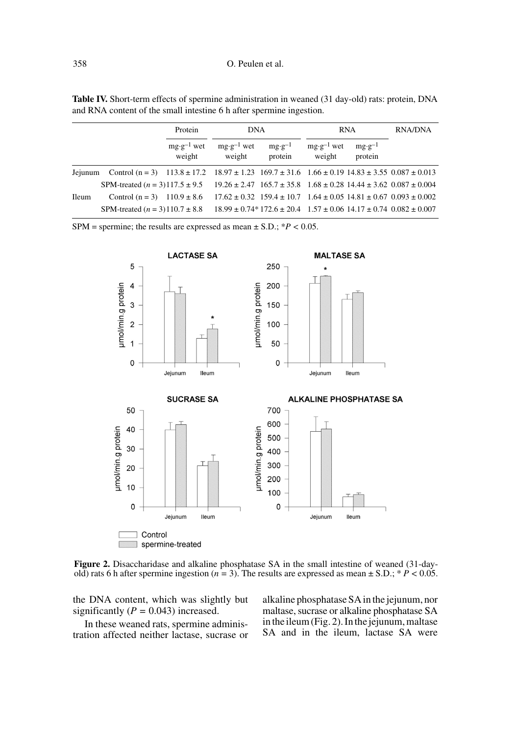| Table IV. Short-term effects of spermine administration in weaned (31 day-old) rats: protein, DNA |  |
|---------------------------------------------------------------------------------------------------|--|
| and RNA content of the small intestine 6 h after spermine ingestion.                              |  |

|              |                                                                                                                         | Protein                         | <b>DNA</b>                      |                              | <b>RNA</b>                      |                              | <b>RNA/DNA</b>                                                                                 |
|--------------|-------------------------------------------------------------------------------------------------------------------------|---------------------------------|---------------------------------|------------------------------|---------------------------------|------------------------------|------------------------------------------------------------------------------------------------|
|              |                                                                                                                         | $mg \cdot g^{-1}$ wet<br>weight | $mg \cdot g^{-1}$ wet<br>weight | $mg \cdot g^{-1}$<br>protein | $mg \cdot g^{-1}$ wet<br>weight | $mg \cdot g^{-1}$<br>protein |                                                                                                |
| Jejunum      | Control $(n = 3)$ 113.8 ± 17.2 18.97 ± 1.23 169.7 ± 31.6 1.66 ± 0.19 14.83 ± 3.55 0.087 ± 0.013                         |                                 |                                 |                              |                                 |                              |                                                                                                |
|              | SPM-treated $(n = 3)117.5 \pm 9.5$ $19.26 \pm 2.47$ $165.7 \pm 35.8$ $1.68 \pm 0.28$ $14.44 \pm 3.62$ $0.087 \pm 0.004$ |                                 |                                 |                              |                                 |                              |                                                                                                |
| <b>Ileum</b> | Control $(n = 3)$ 110.9 $\pm$ 8.6                                                                                       |                                 |                                 |                              |                                 |                              | $17.62 \pm 0.32$ $159.4 \pm 10.7$ $1.64 \pm 0.05$ $14.81 \pm 0.67$ $0.093 \pm 0.002$           |
|              | SPM-treated $(n = 3)110.7 \pm 8.8$                                                                                      |                                 |                                 |                              |                                 |                              | $18.99 \pm 0.74*172.6 \pm 20.4 \quad 1.57 \pm 0.06 \quad 14.17 \pm 0.74 \quad 0.082 \pm 0.007$ |

SPM = spermine; the results are expressed as mean  $\pm$  S.D.;  $*P < 0.05$ .



**Figure 2.** Disaccharidase and alkaline phosphatase SA in the small intestine of weaned (31-dayold) rats 6 h after spermine ingestion  $(n = 3)$ . The results are expressed as mean  $\pm$  S.D.;  $* P < 0.05$ .

the DNA content, which was slightly but significantly  $(P = 0.043)$  increased.

In these weaned rats, spermine administration affected neither lactase, sucrase or alkaline phosphatase SA in the jejunum, nor maltase, sucrase or alkaline phosphatase SA in the ileum (Fig. 2). In the jejunum, maltase SA and in the ileum, lactase SA were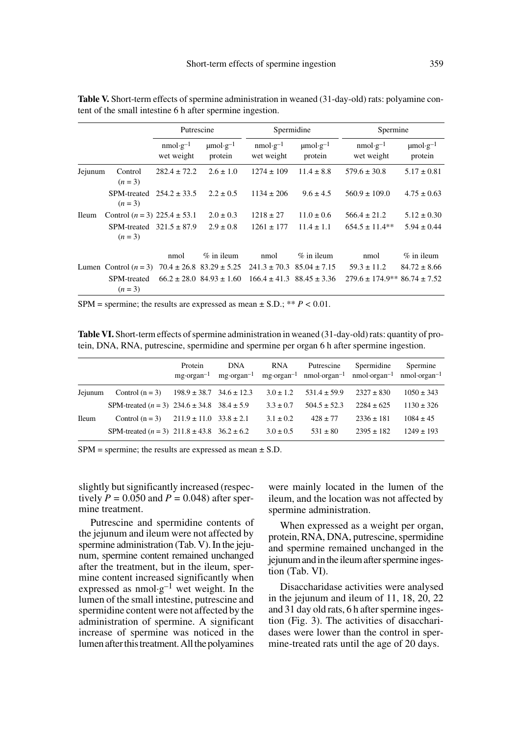|              |                                    | Putrescine               |                                      |                          | Spermidine                           |                                   | Spermine                             |  |
|--------------|------------------------------------|--------------------------|--------------------------------------|--------------------------|--------------------------------------|-----------------------------------|--------------------------------------|--|
|              |                                    | $nmol·g-1$<br>wet weight | $\mu$ mol·g <sup>-1</sup><br>protein | $nmol·g-1$<br>wet weight | $\mu$ mol·g <sup>-1</sup><br>protein | $nmol·g-1$<br>wet weight          | $\mu$ mol·g <sup>-1</sup><br>protein |  |
| Jejunum      | Control<br>$(n=3)$                 | $282.4 \pm 72.2$         | $2.6 \pm 1.0$                        | $1274 \pm 109$           | $11.4 \pm 8.8$                       | $579.6 \pm 30.8$                  | $5.17 \pm 0.81$                      |  |
|              | <b>SPM-treated</b><br>$(n=3)$      | $254.2 \pm 33.5$         | $2.2 \pm 0.5$                        | $1134 \pm 206$           | $9.6 \pm 4.5$                        | $560.9 \pm 109.0$                 | $4.75 \pm 0.63$                      |  |
| <b>Ileum</b> | Control $(n = 3)$ 225.4 $\pm$ 53.1 |                          | $2.0 \pm 0.3$                        | $1218 \pm 27$            | $11.0 \pm 0.6$                       | $566.4 \pm 21.2$                  | $5.12 \pm 0.30$                      |  |
|              | SPM-treated<br>$(n=3)$             | $321.5 \pm 87.9$         | $2.9 \pm 0.8$                        | $1261 \pm 177$           | $11.4 \pm 1.1$                       | $654.5 \pm 11.4**$                | $5.94 \pm 0.44$                      |  |
|              |                                    | nmol                     | $\%$ in ileum                        | nmol                     | $\%$ in ileum                        | nmol                              | $%$ in ileum                         |  |
|              | Lumen Control $(n=3)$              |                          | $70.4 \pm 26.8$ $83.29 \pm 5.25$     |                          | $241.3 \pm 70.3$ 85.04 $\pm 7.15$    | $59.3 \pm 11.2$                   | $84.72 \pm 8.66$                     |  |
|              | <b>SPM-treated</b><br>$(n = 3)$    |                          | $66.2 \pm 28.0$ $84.93 \pm 1.60$     |                          | $166.4 \pm 41.3$ $88.45 \pm 3.36$    | $279.6 \pm 174.9**86.74 \pm 7.52$ |                                      |  |

**Table V.** Short-term effects of spermine administration in weaned (31-day-old) rats: polyamine content of the small intestine 6 h after spermine ingestion.

SPM = spermine; the results are expressed as mean  $\pm$  S.D.; \*\* *P* < 0.01.

**Table VI.** Short-term effects of spermine administration in weaned (31-day-old) rats: quantity of protein, DNA, RNA, putrescine, spermidine and spermine per organ 6 h after spermine ingestion.

|         |                                               | Protein<br>$mg\text{-}organ^{-1}$ | <b>DNA</b><br>$mg\text{-}organ^{-1}$ | <b>RNA</b>    | Putrescine<br>$mg\text{-} \text{organ}^{-1}$ nmol $\text{-} \text{organ}^{-1}$ nmol $\text{-} \text{organ}^{-1}$ nmol $\text{-} \text{organ}^{-1}$ | Spermidine     | Spermine       |
|---------|-----------------------------------------------|-----------------------------------|--------------------------------------|---------------|----------------------------------------------------------------------------------------------------------------------------------------------------|----------------|----------------|
| Jeiunum | Control $(n = 3)$                             | $198.9 \pm 38.7$ $34.6 \pm 12.3$  |                                      | $3.0 \pm 1.2$ | $531.4 \pm 59.9$                                                                                                                                   | $2327 \pm 830$ | $1050 \pm 343$ |
|         | SPM-treated $(n = 3)$ 234.6 ± 34.8 38.4 ± 5.9 |                                   |                                      | $3.3 \pm 0.7$ | $504.5 \pm 52.3$                                                                                                                                   | $2284 \pm 625$ | $1130 \pm 326$ |
| Ileum   | Control $(n = 3)$ 211.9 ± 11.0 33.8 ± 2.1     |                                   |                                      | $3.1 \pm 0.2$ | $428 \pm 77$                                                                                                                                       | $2336 \pm 181$ | $1084 \pm 45$  |
|         | SPM-treated $(n = 3)$ 211.8 ± 43.8 36.2 ± 6.2 |                                   |                                      | $3.0 \pm 0.5$ | $531 \pm 80$                                                                                                                                       | $2395 \pm 182$ | $1249 \pm 193$ |

 $SPM =$  spermine; the results are expressed as mean  $\pm$  S.D.

slightly but significantly increased (respectively  $P = 0.050$  and  $P = 0.048$ ) after spermine treatment.

Putrescine and spermidine contents of the jejunum and ileum were not affected by spermine administration (Tab. V). In the jejunum, spermine content remained unchanged after the treatment, but in the ileum, spermine content increased significantly when expressed as  $nmol·g<sup>-1</sup>$  wet weight. In the lumen of the small intestine, putrescine and spermidine content were not affected by the administration of spermine. A significant increase of spermine was noticed in the lumen after this treatment. All the polyamines were mainly located in the lumen of the ileum, and the location was not affected by spermine administration.

When expressed as a weight per organ, protein, RNA, DNA, putrescine, spermidine and spermine remained unchanged in the jejunum and in the ileum after spermine ingestion (Tab. VI).

Disaccharidase activities were analysed in the jejunum and ileum of 11, 18, 20, 22 and 31 day old rats, 6 h after spermine ingestion (Fig. 3). The activities of disaccharidases were lower than the control in spermine-treated rats until the age of 20 days.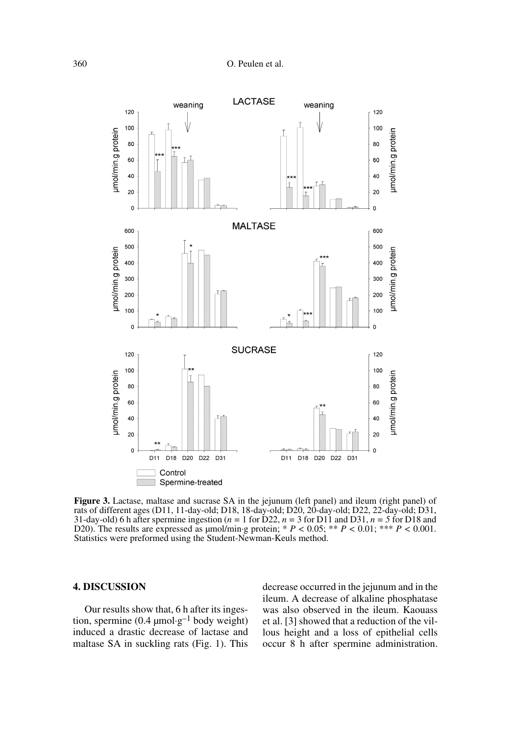

**Figure 3.** Lactase, maltase and sucrase SA in the jejunum (left panel) and ileum (right panel) of rats of different ages (D11, 11-day-old; D18, 18-day-old; D20, 20-day-old; D22, 22-day-old; D31, 31-day-old) 6 h after spermine ingestion ( $n = 1$  for D22,  $n = 3$  for D11 and D31,  $n = 5$  for D18 and D20). The results are expressed as  $\mu$ mol/min·g protein; \*  $P < 0.05$ ; \*\*  $P < 0.01$ ; \*\*  $P < 0.001$ . Statistics were preformed using the Student-Newman-Keuls method.

## **4. DISCUSSION**

Our results show that, 6 h after its ingestion, spermine (0.4  $\mu$ mol·g<sup>-1</sup> body weight) induced a drastic decrease of lactase and maltase SA in suckling rats (Fig. 1). This

decrease occurred in the jejunum and in the ileum. A decrease of alkaline phosphatase was also observed in the ileum. Kaouass et al. [3] showed that a reduction of the villous height and a loss of epithelial cells occur 8 h after spermine administration.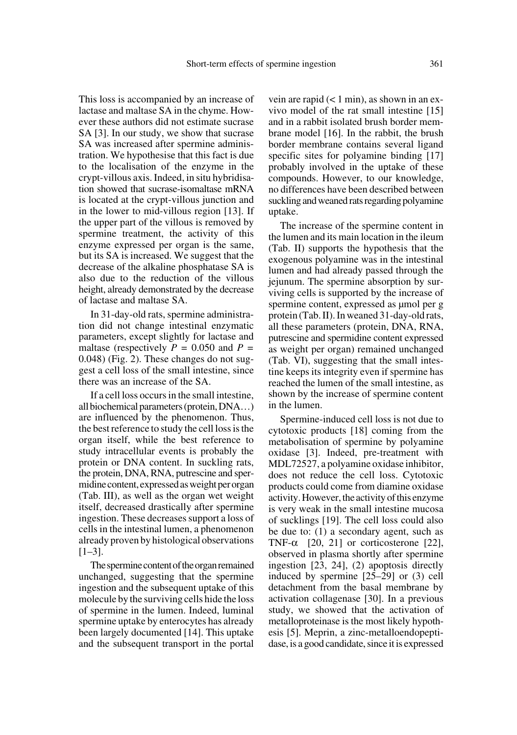This loss is accompanied by an increase of lactase and maltase SA in the chyme. However these authors did not estimate sucrase SA [3]. In our study, we show that sucrase SA was increased after spermine administration. We hypothesise that this fact is due to the localisation of the enzyme in the crypt-villous axis. Indeed, in situ hybridisation showed that sucrase-isomaltase mRNA is located at the crypt-villous junction and in the lower to mid-villous region [13]. If the upper part of the villous is removed by spermine treatment, the activity of this enzyme expressed per organ is the same, but its SA is increased. We suggest that the decrease of the alkaline phosphatase SA is also due to the reduction of the villous height, already demonstrated by the decrease of lactase and maltase SA.

In 31-day-old rats, spermine administration did not change intestinal enzymatic parameters, except slightly for lactase and maltase (respectively  $P = 0.050$  and  $P =$ 0.048) (Fig. 2). These changes do not suggest a cell loss of the small intestine, since there was an increase of the SA.

If a cell loss occurs in the small intestine, all biochemical parameters (protein, DNA…) are influenced by the phenomenon. Thus, the best reference to study the cell loss is the organ itself, while the best reference to study intracellular events is probably the protein or DNA content. In suckling rats, the protein, DNA, RNA, putrescine and spermidine content, expressed as weight per organ (Tab. III), as well as the organ wet weight itself, decreased drastically after spermine ingestion. These decreases support a loss of cells in the intestinal lumen, a phenomenon already proven by histological observations [1–3].

The spermine content of the organ remained unchanged, suggesting that the spermine ingestion and the subsequent uptake of this molecule by the surviving cells hide the loss of spermine in the lumen. Indeed, luminal spermine uptake by enterocytes has already been largely documented [14]. This uptake and the subsequent transport in the portal

vein are rapid  $(< 1$  min), as shown in an exvivo model of the rat small intestine [15] and in a rabbit isolated brush border membrane model [16]. In the rabbit, the brush border membrane contains several ligand specific sites for polyamine binding [17] probably involved in the uptake of these compounds. However, to our knowledge, no differences have been described between suckling and weaned rats regarding polyamine uptake.

The increase of the spermine content in the lumen and its main location in the ileum (Tab. II) supports the hypothesis that the exogenous polyamine was in the intestinal lumen and had already passed through the jejunum. The spermine absorption by surviving cells is supported by the increase of spermine content, expressed as  $\mu$ mol per g protein (Tab. II). In weaned 31-day-old rats, all these parameters (protein, DNA, RNA, putrescine and spermidine content expressed as weight per organ) remained unchanged (Tab. VI), suggesting that the small intestine keeps its integrity even if spermine has reached the lumen of the small intestine, as shown by the increase of spermine content in the lumen.

Spermine-induced cell loss is not due to cytotoxic products [18] coming from the metabolisation of spermine by polyamine oxidase [3]. Indeed, pre-treatment with MDL72527, a polyamine oxidase inhibitor, does not reduce the cell loss. Cytotoxic products could come from diamine oxidase activity. However, the activity of this enzyme is very weak in the small intestine mucosa of sucklings [19]. The cell loss could also be due to: (1) a secondary agent, such as TNF- $\alpha$  [20, 21] or corticosterone [22], observed in plasma shortly after spermine ingestion [23, 24], (2) apoptosis directly induced by spermine [25–29] or (3) cell detachment from the basal membrane by activation collagenase [30]. In a previous study, we showed that the activation of metalloproteinase is the most likely hypothesis [5]. Meprin, a zinc-metalloendopeptidase, is a good candidate, since it is expressed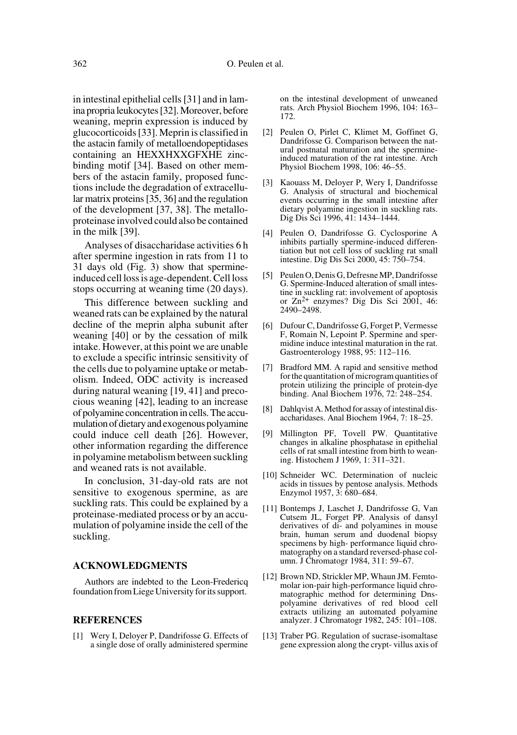in intestinal epithelial cells [31] and in lamina propria leukocytes [32]. Moreover, before weaning, meprin expression is induced by glucocorticoids [33]. Meprin is classified in the astacin family of metalloendopeptidases containing an HEXXHXXGFXHE zincbinding motif [34]. Based on other members of the astacin family, proposed functions include the degradation of extracellular matrix proteins [35, 36] and the regulation of the development [37, 38]. The metalloproteinase involved could also be contained in the milk [39].

Analyses of disaccharidase activities 6 h after spermine ingestion in rats from 11 to 31 days old (Fig. 3) show that spermineinduced cell loss is age-dependent. Cell loss stops occurring at weaning time (20 days).

This difference between suckling and weaned rats can be explained by the natural decline of the meprin alpha subunit after weaning [40] or by the cessation of milk intake. However, at this point we are unable to exclude a specific intrinsic sensitivity of the cells due to polyamine uptake or metabolism. Indeed, ODC activity is increased during natural weaning [19, 41] and precocious weaning [42], leading to an increase of polyamine concentration in cells. The accumulation of dietary and exogenous polyamine could induce cell death [26]. However, other information regarding the difference in polyamine metabolism between suckling and weaned rats is not available.

In conclusion, 31-day-old rats are not sensitive to exogenous spermine, as are suckling rats. This could be explained by a proteinase-mediated process or by an accumulation of polyamine inside the cell of the suckling.

#### **ACKNOWLEDGMENTS**

Authors are indebted to the Leon-Fredericq foundation from Liege University for its support.

## **REFERENCES**

[1] Wery I, Deloyer P, Dandrifosse G. Effects of a single dose of orally administered spermine

on the intestinal development of unweaned rats. Arch Physiol Biochem 1996, 104: 163– 172.

- [2] Peulen O, Pirlet C, Klimet M, Goffinet G, Dandrifosse G. Comparison between the natural postnatal maturation and the spermineinduced maturation of the rat intestine. Arch Physiol Biochem 1998, 106: 46–55.
- [3] Kaouass M, Deloyer P, Wery I, Dandrifosse G. Analysis of structural and biochemical events occurring in the small intestine after dietary polyamine ingestion in suckling rats. Dig Dis Sci 1996, 41: 1434–1444.
- [4] Peulen O, Dandrifosse G. Cyclosporine A inhibits partially spermine-induced differentiation but not cell loss of suckling rat small intestine. Dig Dis Sci 2000, 45: 750–754.
- [5] Peulen O, Denis G, Defresne MP, Dandrifosse G. Spermine-Induced alteration of small intestine in suckling rat: involvement of apoptosis or  $Zn^{2+}$  enzymes? Dig Dis Sci 2001, 46: 2490–2498.
- [6] Dufour C, Dandrifosse G, Forget P, Vermesse F, Romain N, Lepoint P. Spermine and spermidine induce intestinal maturation in the rat. Gastroenterology 1988, 95: 112–116.
- [7] Bradford MM. A rapid and sensitive method for the quantitation of microgram quantities of protein utilizing the principle of protein-dye binding. Anal Biochem 1976, 72: 248–254.
- [8] Dahlqvist A. Method for assay of intestinal disaccharidases. Anal Biochem 1964, 7: 18–25.
- [9] Millington PF, Tovell PW. Quantitative changes in alkaline phosphatase in epithelial cells of rat small intestine from birth to weaning. Histochem J 1969, 1: 311–321.
- [10] Schneider WC. Determination of nucleic acids in tissues by pentose analysis. Methods Enzymol 1957, 3: 680–684.
- [11] Bontemps J, Laschet J, Dandrifosse G, Van Cutsem JL, Forget PP. Analysis of dansyl derivatives of di- and polyamines in mouse brain, human serum and duodenal biopsy specimens by high- performance liquid chromatography on a standard reversed-phase column. J Chromatogr 1984, 311: 59–67.
- [12] Brown ND, Strickler MP, Whaun JM. Femtomolar ion-pair high-performance liquid chromatographic method for determining Dnspolyamine derivatives of red blood cell extracts utilizing an automated polyamine analyzer. J Chromatogr 1982, 245: 101–108.
- [13] Traber PG. Regulation of sucrase-isomaltase gene expression along the crypt- villus axis of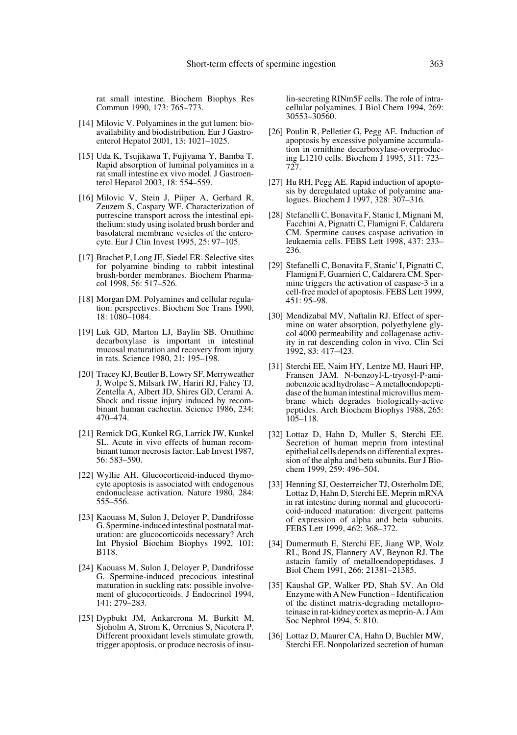rat small intestine. Biochem Biophys Res Commun 1990, 173: 765–773.

- [14] Milovic V. Polyamines in the gut lumen: bioavailability and biodistribution. Eur J Gastroenterol Hepatol 2001, 13: 1021–1025.
- [15] Uda K, Tsujikawa T, Fujiyama Y, Bamba T. Rapid absorption of luminal polyamines in a rat small intestine ex vivo model. J Gastroenterol Hepatol 2003, 18: 554–559.
- [16] Milovic V, Stein J, Piiper A, Gerhard R, Zeuzem S, Caspary WF. Characterization of putrescine transport across the intestinal epithelium: study using isolated brush border and basolateral membrane vesicles of the enterocyte. Eur J Clin Invest 1995, 25: 97–105.
- [17] Brachet P, Long JE, Siedel ER. Selective sites for polyamine binding to rabbit intestinal brush-border membranes. Biochem Pharmacol 1998, 56: 517–526.
- [18] Morgan DM. Polyamines and cellular regulation: perspectives. Biochem Soc Trans 1990, 18: 1080–1084.
- [19] Luk GD, Marton LJ, Baylin SB. Ornithine decarboxylase is important in intestinal mucosal maturation and recovery from injury in rats. Science 1980, 21: 195–198.
- [20] Tracey KJ, Beutler B, Lowry SF, Merryweather J, Wolpe S, Milsark IW, Hariri RJ, Fahey TJ, Zentella A, Albert JD, Shires GD, Cerami A. Shock and tissue injury induced by recombinant human cachectin. Science 1986, 234: 470–474.
- [21] Remick DG, Kunkel RG, Larrick JW, Kunkel SL. Acute in vivo effects of human recombinant tumor necrosis factor. Lab Invest 1987, 56: 583–590.
- [22] Wyllie AH. Glucocorticoid-induced thymocyte apoptosis is associated with endogenous endonuclease activation. Nature 1980, 284: 555–556.
- [23] Kaouass M, Sulon J, Deloyer P, Dandrifosse G. Spermine-induced intestinal postnatal maturation: are glucocorticoids necessary? Arch Int Physiol Biochim Biophys 1992, 101: B118.
- [24] Kaouass M, Sulon J, Deloyer P, Dandrifosse G. Spermine-induced precocious intestinal maturation in suckling rats: possible involvement of glucocorticoids. J Endocrinol 1994, 141: 279–283.
- [25] Dypbukt JM, Ankarcrona M, Burkitt M, Sjoholm A, Strom K, Orrenius S, Nicotera P. Different prooxidant levels stimulate growth, trigger apoptosis, or produce necrosis of insu-

lin-secreting RINm5F cells. The role of intracellular polyamines. J Biol Chem 1994, 269: 30553–30560.

- [26] Poulin R, Pelletier G, Pegg AE. Induction of apoptosis by excessive polyamine accumulation in ornithine decarboxylase-overproducing L1210 cells. Biochem J 1995, 311: 723– 727.
- [27] Hu RH, Pegg AE. Rapid induction of apoptosis by deregulated uptake of polyamine analogues. Biochem J 1997, 328: 307–316.
- [28] Stefanelli C, Bonavita F, Stanic I, Mignani M, Facchini A, Pignatti C, Flamigni F, Caldarera CM. Spermine causes caspase activation in leukaemia cells. FEBS Lett 1998, 437: 233– 236.
- [29] Stefanelli C, Bonavita F, Stanic' I, Pignatti C, Flamigni F, Guarnieri C, Caldarera CM. Spermine triggers the activation of caspase-3 in a cell-free model of apoptosis. FEBS Lett 1999, 451: 95–98.
- [30] Mendizabal MV, Naftalin RJ. Effect of spermine on water absorption, polyethylene glycol 4000 permeability and collagenase activity in rat descending colon in vivo. Clin Sci 1992, 83: 417–423.
- [31] Sterchi EE, Naim HY, Lentze MJ, Hauri HP, Fransen JAM. N-benzoyl-L-tryosyl-P-aminobenzoic acid hydrolase – A metalloendopeptidase of the human intestinal microvillus membrane which degrades biologically-active peptides. Arch Biochem Biophys 1988, 265: 105–118.
- [32] Lottaz D, Hahn D, Muller S, Sterchi EE. Secretion of human meprin from intestinal epithelial cells depends on differential expression of the alpha and beta subunits. Eur J Biochem 1999, 259: 496–504.
- [33] Henning SJ, Oesterreicher TJ, Osterholm DE, Lottaz D, Hahn D, Sterchi EE. Meprin mRNA in rat intestine during normal and glucocorticoid-induced maturation: divergent patterns of expression of alpha and beta subunits. FEBS Lett 1999, 462: 368–372.
- [34] Dumermuth E, Sterchi EE, Jiang WP, Wolz RL, Bond JS, Flannery AV, Beynon RJ. The astacin family of metalloendopeptidases. J Biol Chem 1991, 266: 21381–21385.
- [35] Kaushal GP, Walker PD, Shah SV. An Old Enzyme with A New Function – Identification of the distinct matrix-degrading metalloproteinase in rat-kidney cortex as meprin-A. J Am Soc Nephrol 1994, 5: 810.
- [36] Lottaz D, Maurer CA, Hahn D, Buchler MW, Sterchi EE. Nonpolarized secretion of human